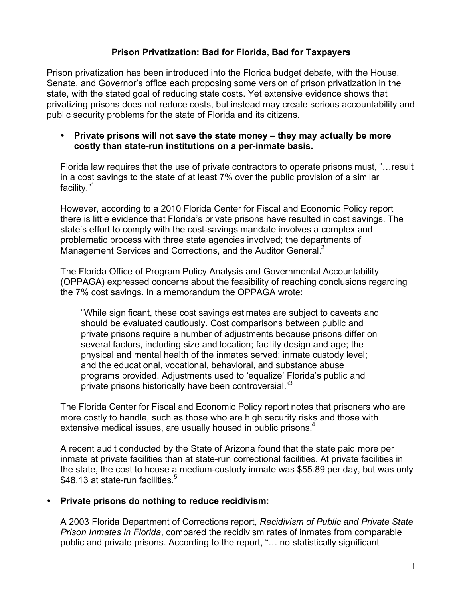# **Prison Privatization: Bad for Florida, Bad for Taxpayers**

Prison privatization has been introduced into the Florida budget debate, with the House, Senate, and Governor's office each proposing some version of prison privatization in the state, with the stated goal of reducing state costs. Yet extensive evidence shows that privatizing prisons does not reduce costs, but instead may create serious accountability and public security problems for the state of Florida and its citizens.

#### • **Private prisons will not save the state money – they may actually be more costly than state-run institutions on a per-inmate basis.**

Florida law requires that the use of private contractors to operate prisons must, "…result in a cost savings to the state of at least 7% over the public provision of a similar facility."1

However, according to a 2010 Florida Center for Fiscal and Economic Policy report there is little evidence that Florida's private prisons have resulted in cost savings. The state's effort to comply with the cost-savings mandate involves a complex and problematic process with three state agencies involved; the departments of Management Services and Corrections, and the Auditor General.<sup>2</sup>

The Florida Office of Program Policy Analysis and Governmental Accountability (OPPAGA) expressed concerns about the feasibility of reaching conclusions regarding the 7% cost savings. In a memorandum the OPPAGA wrote:

"While significant, these cost savings estimates are subject to caveats and should be evaluated cautiously. Cost comparisons between public and private prisons require a number of adjustments because prisons differ on several factors, including size and location; facility design and age; the physical and mental health of the inmates served; inmate custody level; and the educational, vocational, behavioral, and substance abuse programs provided. Adjustments used to 'equalize' Florida's public and private prisons historically have been controversial."3

The Florida Center for Fiscal and Economic Policy report notes that prisoners who are more costly to handle, such as those who are high security risks and those with extensive medical issues, are usually housed in public prisons.<sup>4</sup>

A recent audit conducted by the State of Arizona found that the state paid more per inmate at private facilities than at state-run correctional facilities. At private facilities in the state, the cost to house a medium-custody inmate was \$55.89 per day, but was only \$48.13 at state-run facilities.<sup>5</sup>

#### • **Private prisons do nothing to reduce recidivism:**

A 2003 Florida Department of Corrections report, *Recidivism of Public and Private State Prison Inmates in Florida*, compared the recidivism rates of inmates from comparable public and private prisons. According to the report, "… no statistically significant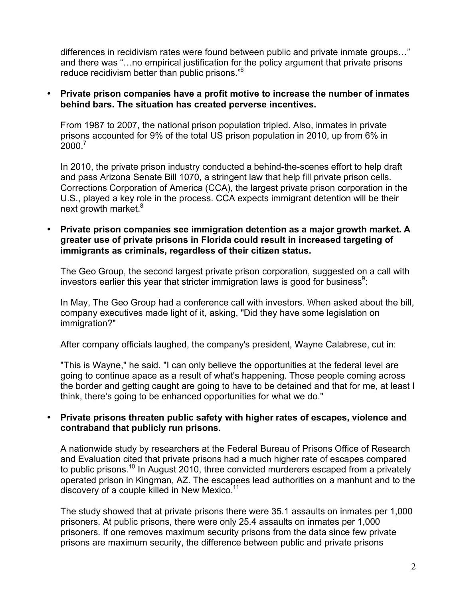differences in recidivism rates were found between public and private inmate groups…" and there was "…no empirical justification for the policy argument that private prisons reduce recidivism better than public prisons."6

#### • **Private prison companies have a profit motive to increase the number of inmates behind bars. The situation has created perverse incentives.**

From 1987 to 2007, the national prison population tripled. Also, inmates in private prisons accounted for 9% of the total US prison population in 2010, up from 6% in  $2000.<sup>7</sup>$ 

In 2010, the private prison industry conducted a behind-the-scenes effort to help draft and pass Arizona Senate Bill 1070, a stringent law that help fill private prison cells. Corrections Corporation of America (CCA), the largest private prison corporation in the U.S., played a key role in the process. CCA expects immigrant detention will be their next growth market.<sup>8</sup>

#### • **Private prison companies see immigration detention as a major growth market. A greater use of private prisons in Florida could result in increased targeting of immigrants as criminals, regardless of their citizen status.**

The Geo Group, the second largest private prison corporation, suggested on a call with investors earlier this year that stricter immigration laws is good for business<sup>9</sup>:

In May, The Geo Group had a conference call with investors. When asked about the bill, company executives made light of it, asking, "Did they have some legislation on immigration?"

After company officials laughed, the company's president, Wayne Calabrese, cut in:

"This is Wayne," he said. "I can only believe the opportunities at the federal level are going to continue apace as a result of what's happening. Those people coming across the border and getting caught are going to have to be detained and that for me, at least I think, there's going to be enhanced opportunities for what we do."

## • **Private prisons threaten public safety with higher rates of escapes, violence and contraband that publicly run prisons.**

A nationwide study by researchers at the Federal Bureau of Prisons Office of Research and Evaluation cited that private prisons had a much higher rate of escapes compared to public prisons.<sup>10</sup> In August 2010, three convicted murderers escaped from a privately operated prison in Kingman, AZ. The escapees lead authorities on a manhunt and to the discovery of a couple killed in New Mexico.<sup>11</sup>

The study showed that at private prisons there were 35.1 assaults on inmates per 1,000 prisoners. At public prisons, there were only 25.4 assaults on inmates per 1,000 prisoners. If one removes maximum security prisons from the data since few private prisons are maximum security, the difference between public and private prisons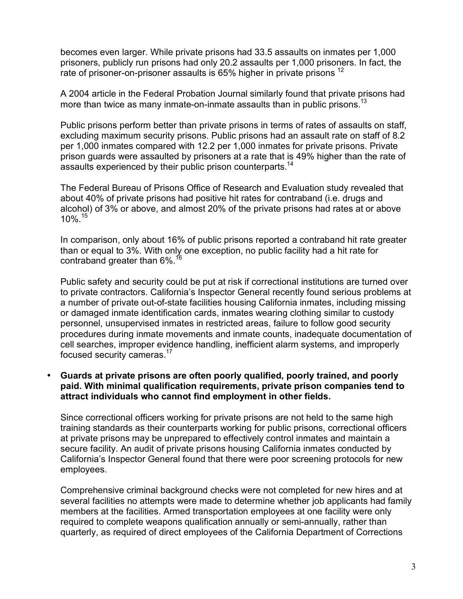becomes even larger. While private prisons had 33.5 assaults on inmates per 1,000 prisoners, publicly run prisons had only 20.2 assaults per 1,000 prisoners. In fact, the rate of prisoner-on-prisoner assaults is 65% higher in private prisons <sup>12</sup>

A 2004 article in the Federal Probation Journal similarly found that private prisons had more than twice as many inmate-on-inmate assaults than in public prisons.<sup>13</sup>

Public prisons perform better than private prisons in terms of rates of assaults on staff, excluding maximum security prisons. Public prisons had an assault rate on staff of 8.2 per 1,000 inmates compared with 12.2 per 1,000 inmates for private prisons. Private prison guards were assaulted by prisoners at a rate that is 49% higher than the rate of assaults experienced by their public prison counterparts.<sup>14</sup>

The Federal Bureau of Prisons Office of Research and Evaluation study revealed that about 40% of private prisons had positive hit rates for contraband (i.e. drugs and alcohol) of 3% or above, and almost 20% of the private prisons had rates at or above 10%. 15

In comparison, only about 16% of public prisons reported a contraband hit rate greater than or equal to 3%. With only one exception, no public facility had a hit rate for contraband greater than 6%.<sup>16</sup>

Public safety and security could be put at risk if correctional institutions are turned over to private contractors. California's Inspector General recently found serious problems at a number of private out-of-state facilities housing California inmates, including missing or damaged inmate identification cards, inmates wearing clothing similar to custody personnel, unsupervised inmates in restricted areas, failure to follow good security procedures during inmate movements and inmate counts, inadequate documentation of cell searches, improper evidence handling, inefficient alarm systems, and improperly focused security cameras.<sup>17</sup>

#### • **Guards at private prisons are often poorly qualified, poorly trained, and poorly paid. With minimal qualification requirements, private prison companies tend to attract individuals who cannot find employment in other fields.**

Since correctional officers working for private prisons are not held to the same high training standards as their counterparts working for public prisons, correctional officers at private prisons may be unprepared to effectively control inmates and maintain a secure facility. An audit of private prisons housing California inmates conducted by California's Inspector General found that there were poor screening protocols for new employees.

Comprehensive criminal background checks were not completed for new hires and at several facilities no attempts were made to determine whether job applicants had family members at the facilities. Armed transportation employees at one facility were only required to complete weapons qualification annually or semi-annually, rather than quarterly, as required of direct employees of the California Department of Corrections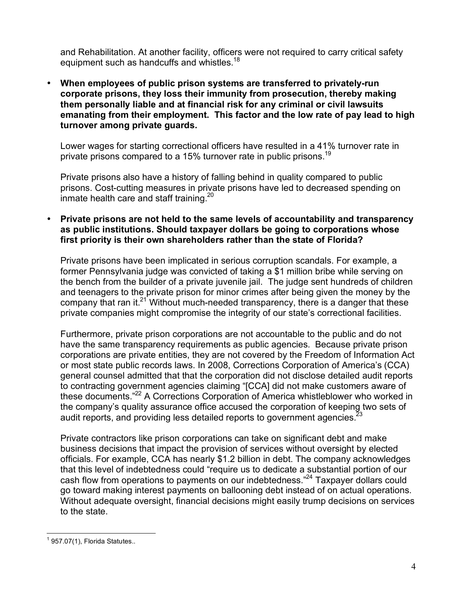and Rehabilitation. At another facility, officers were not required to carry critical safety equipment such as handcuffs and whistles.<sup>18</sup>

• **When employees of public prison systems are transferred to privately-run corporate prisons, they loss their immunity from prosecution, thereby making them personally liable and at financial risk for any criminal or civil lawsuits emanating from their employment. This factor and the low rate of pay lead to high turnover among private guards.** 

Lower wages for starting correctional officers have resulted in a 41% turnover rate in private prisons compared to a 15% turnover rate in public prisons.19

Private prisons also have a history of falling behind in quality compared to public prisons. Cost-cutting measures in private prisons have led to decreased spending on inmate health care and staff training.<sup>20</sup>

## • **Private prisons are not held to the same levels of accountability and transparency as public institutions. Should taxpayer dollars be going to corporations whose first priority is their own shareholders rather than the state of Florida?**

Private prisons have been implicated in serious corruption scandals. For example, a former Pennsylvania judge was convicted of taking a \$1 million bribe while serving on the bench from the builder of a private juvenile jail. The judge sent hundreds of children and teenagers to the private prison for minor crimes after being given the money by the company that ran it.<sup>21</sup> Without much-needed transparency, there is a danger that these private companies might compromise the integrity of our state's correctional facilities.

Furthermore, private prison corporations are not accountable to the public and do not have the same transparency requirements as public agencies. Because private prison corporations are private entities, they are not covered by the Freedom of Information Act or most state public records laws. In 2008, Corrections Corporation of America's (CCA) general counsel admitted that that the corporation did not disclose detailed audit reports to contracting government agencies claiming "[CCA] did not make customers aware of these documents."22 A Corrections Corporation of America whistleblower who worked in the company's quality assurance office accused the corporation of keeping two sets of audit reports, and providing less detailed reports to government agencies.  $23$ 

Private contractors like prison corporations can take on significant debt and make business decisions that impact the provision of services without oversight by elected officials. For example, CCA has nearly \$1.2 billion in debt. The company acknowledges that this level of indebtedness could "require us to dedicate a substantial portion of our cash flow from operations to payments on our indebtedness."<sup>24</sup> Taxpayer dollars could go toward making interest payments on ballooning debt instead of on actual operations. Without adequate oversight, financial decisions might easily trump decisions on services to the state.

 $\frac{1}{1}$  $1$  957.07(1), Florida Statutes..